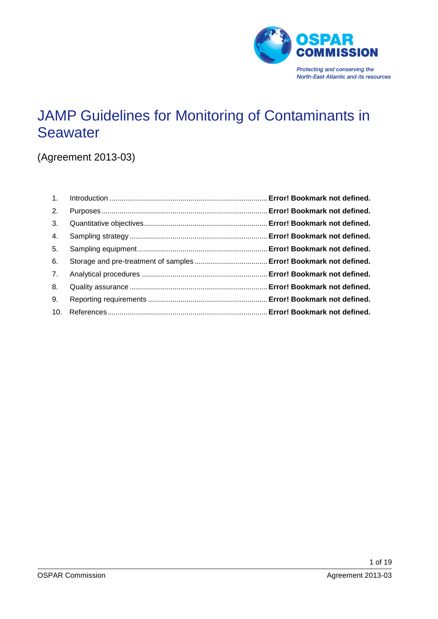

# JAMP Guidelines for Monitoring of Contaminants in **Seawater**

(Agreement 2013-03)

| 2. |  |
|----|--|
| 3. |  |
| 4. |  |
| 5. |  |
| 6. |  |
| 7. |  |
| 8. |  |
| 9. |  |
|    |  |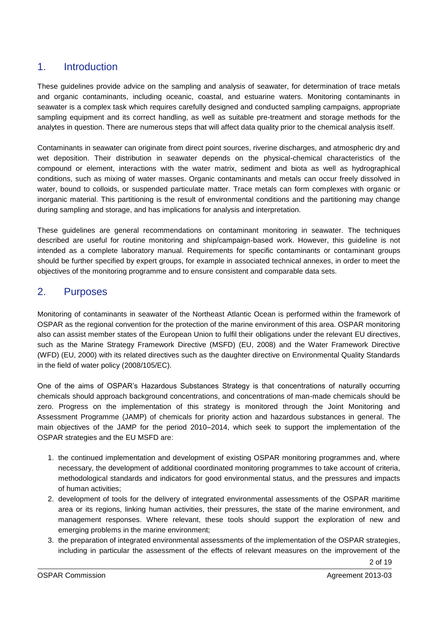# 1. Introduction

These guidelines provide advice on the sampling and analysis of seawater, for determination of trace metals and organic contaminants, including oceanic, coastal, and estuarine waters. Monitoring contaminants in seawater is a complex task which requires carefully designed and conducted sampling campaigns, appropriate sampling equipment and its correct handling, as well as suitable pre-treatment and storage methods for the analytes in question. There are numerous steps that will affect data quality prior to the chemical analysis itself.

Contaminants in seawater can originate from direct point sources, riverine discharges, and atmospheric dry and wet deposition. Their distribution in seawater depends on the physical-chemical characteristics of the compound or element, interactions with the water matrix, sediment and biota as well as hydrographical conditions, such as mixing of water masses. Organic contaminants and metals can occur freely dissolved in water, bound to colloids, or suspended particulate matter. Trace metals can form complexes with organic or inorganic material. This partitioning is the result of environmental conditions and the partitioning may change during sampling and storage, and has implications for analysis and interpretation.

These guidelines are general recommendations on contaminant monitoring in seawater. The techniques described are useful for routine monitoring and ship/campaign-based work. However, this guideline is not intended as a complete laboratory manual. Requirements for specific contaminants or contaminant groups should be further specified by expert groups, for example in associated technical annexes, in order to meet the objectives of the monitoring programme and to ensure consistent and comparable data sets.

# 2. Purposes

Monitoring of contaminants in seawater of the Northeast Atlantic Ocean is performed within the framework of OSPAR as the regional convention for the protection of the marine environment of this area. OSPAR monitoring also can assist member states of the European Union to fulfil their obligations under the relevant EU directives, such as the Marine Strategy Framework Directive (MSFD) (EU, 2008) and the Water Framework Directive (WFD) (EU, 2000) with its related directives such as the daughter directive on Environmental Quality Standards in the field of water policy (2008/105/EC).

One of the aims of OSPAR's Hazardous Substances Strategy is that concentrations of naturally occurring chemicals should approach background concentrations, and concentrations of man-made chemicals should be zero. Progress on the implementation of this strategy is monitored through the Joint Monitoring and Assessment Programme (JAMP) of chemicals for priority action and hazardous substances in general. The main objectives of the JAMP for the period 2010–2014, which seek to support the implementation of the OSPAR strategies and the EU MSFD are:

- 1. the continued implementation and development of existing OSPAR monitoring programmes and, where necessary, the development of additional coordinated monitoring programmes to take account of criteria, methodological standards and indicators for good environmental status, and the pressures and impacts of human activities;
- 2. development of tools for the delivery of integrated environmental assessments of the OSPAR maritime area or its regions, linking human activities, their pressures, the state of the marine environment, and management responses. Where relevant, these tools should support the exploration of new and emerging problems in the marine environment;
- 3. the preparation of integrated environmental assessments of the implementation of the OSPAR strategies, including in particular the assessment of the effects of relevant measures on the improvement of the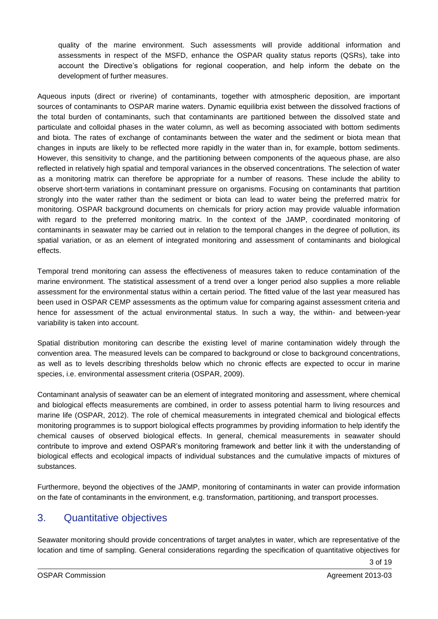quality of the marine environment. Such assessments will provide additional information and assessments in respect of the MSFD, enhance the OSPAR quality status reports (QSRs), take into account the Directive's obligations for regional cooperation, and help inform the debate on the development of further measures.

Aqueous inputs (direct or riverine) of contaminants, together with atmospheric deposition, are important sources of contaminants to OSPAR marine waters. Dynamic equilibria exist between the dissolved fractions of the total burden of contaminants, such that contaminants are partitioned between the dissolved state and particulate and colloidal phases in the water column, as well as becoming associated with bottom sediments and biota. The rates of exchange of contaminants between the water and the sediment or biota mean that changes in inputs are likely to be reflected more rapidly in the water than in, for example, bottom sediments. However, this sensitivity to change, and the partitioning between components of the aqueous phase, are also reflected in relatively high spatial and temporal variances in the observed concentrations. The selection of water as a monitoring matrix can therefore be appropriate for a number of reasons. These include the ability to observe short-term variations in contaminant pressure on organisms. Focusing on contaminants that partition strongly into the water rather than the sediment or biota can lead to water being the preferred matrix for monitoring. OSPAR background documents on chemicals for priory action may provide valuable information with regard to the preferred monitoring matrix. In the context of the JAMP, coordinated monitoring of contaminants in seawater may be carried out in relation to the temporal changes in the degree of pollution, its spatial variation, or as an element of integrated monitoring and assessment of contaminants and biological effects.

Temporal trend monitoring can assess the effectiveness of measures taken to reduce contamination of the marine environment. The statistical assessment of a trend over a longer period also supplies a more reliable assessment for the environmental status within a certain period. The fitted value of the last year measured has been used in OSPAR CEMP assessments as the optimum value for comparing against assessment criteria and hence for assessment of the actual environmental status. In such a way, the within- and between-year variability is taken into account.

Spatial distribution monitoring can describe the existing level of marine contamination widely through the convention area. The measured levels can be compared to background or close to background concentrations, as well as to levels describing thresholds below which no chronic effects are expected to occur in marine species, i.e. environmental assessment criteria (OSPAR, 2009).

Contaminant analysis of seawater can be an element of integrated monitoring and assessment, where chemical and biological effects measurements are combined, in order to assess potential harm to living resources and marine life (OSPAR, 2012). The role of chemical measurements in integrated chemical and biological effects monitoring programmes is to support biological effects programmes by providing information to help identify the chemical causes of observed biological effects. In general, chemical measurements in seawater should contribute to improve and extend OSPAR's monitoring framework and better link it with the understanding of biological effects and ecological impacts of individual substances and the cumulative impacts of mixtures of substances.

Furthermore, beyond the objectives of the JAMP, monitoring of contaminants in water can provide information on the fate of contaminants in the environment, e.g. transformation, partitioning, and transport processes.

# 3. Quantitative objectives

Seawater monitoring should provide concentrations of target analytes in water, which are representative of the location and time of sampling. General considerations regarding the specification of quantitative objectives for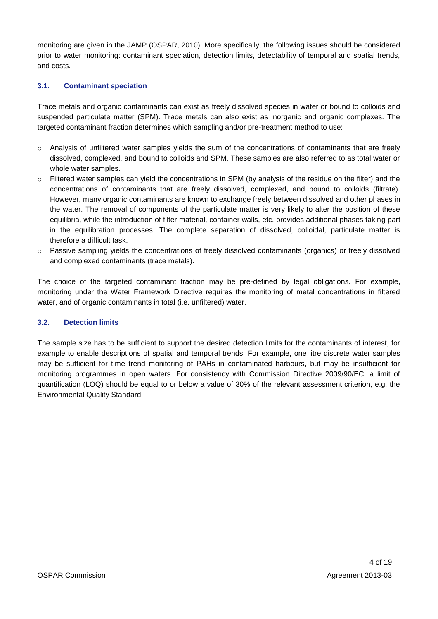monitoring are given in the JAMP (OSPAR, 2010). More specifically, the following issues should be considered prior to water monitoring: contaminant speciation, detection limits, detectability of temporal and spatial trends, and costs.

#### **3.1. Contaminant speciation**

Trace metals and organic contaminants can exist as freely dissolved species in water or bound to colloids and suspended particulate matter (SPM). Trace metals can also exist as inorganic and organic complexes. The targeted contaminant fraction determines which sampling and/or pre-treatment method to use:

- $\circ$  Analysis of unfiltered water samples yields the sum of the concentrations of contaminants that are freely dissolved, complexed, and bound to colloids and SPM. These samples are also referred to as total water or whole water samples.
- $\circ$  Filtered water samples can yield the concentrations in SPM (by analysis of the residue on the filter) and the concentrations of contaminants that are freely dissolved, complexed, and bound to colloids (filtrate). However, many organic contaminants are known to exchange freely between dissolved and other phases in the water. The removal of components of the particulate matter is very likely to alter the position of these equilibria, while the introduction of filter material, container walls, etc. provides additional phases taking part in the equilibration processes. The complete separation of dissolved, colloidal, particulate matter is therefore a difficult task.
- o Passive sampling yields the concentrations of freely dissolved contaminants (organics) or freely dissolved and complexed contaminants (trace metals).

The choice of the targeted contaminant fraction may be pre-defined by legal obligations. For example, monitoring under the Water Framework Directive requires the monitoring of metal concentrations in filtered water, and of organic contaminants in total (i.e. unfiltered) water.

#### **3.2. Detection limits**

The sample size has to be sufficient to support the desired detection limits for the contaminants of interest, for example to enable descriptions of spatial and temporal trends. For example, one litre discrete water samples may be sufficient for time trend monitoring of PAHs in contaminated harbours, but may be insufficient for monitoring programmes in open waters. For consistency with Commission Directive 2009/90/EC, a limit of quantification (LOQ) should be equal to or below a value of 30% of the relevant assessment criterion, e.g. the Environmental Quality Standard.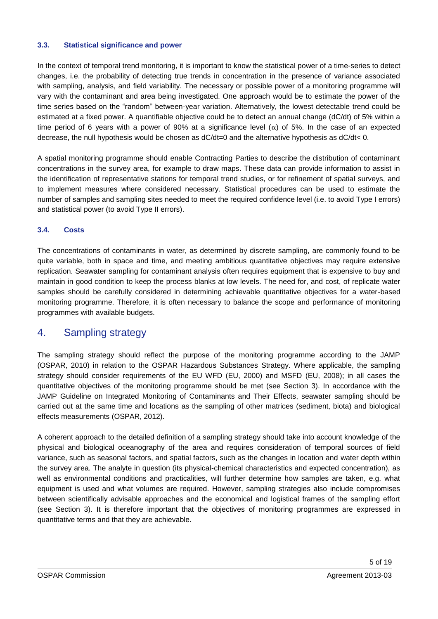#### **3.3. Statistical significance and power**

In the context of temporal trend monitoring, it is important to know the statistical power of a time-series to detect changes, i.e. the probability of detecting true trends in concentration in the presence of variance associated with sampling, analysis, and field variability. The necessary or possible power of a monitoring programme will vary with the contaminant and area being investigated. One approach would be to estimate the power of the time series based on the "random" between-year variation. Alternatively, the lowest detectable trend could be estimated at a fixed power. A quantifiable objective could be to detect an annual change (dC/dt) of 5% within a time period of 6 years with a power of 90% at a significance level  $(\alpha)$  of 5%. In the case of an expected decrease, the null hypothesis would be chosen as dC/dt=0 and the alternative hypothesis as dC/dt< 0.

A spatial monitoring programme should enable Contracting Parties to describe the distribution of contaminant concentrations in the survey area, for example to draw maps. These data can provide information to assist in the identification of representative stations for temporal trend studies, or for refinement of spatial surveys, and to implement measures where considered necessary. Statistical procedures can be used to estimate the number of samples and sampling sites needed to meet the required confidence level (i.e. to avoid Type I errors) and statistical power (to avoid Type II errors).

#### **3.4. Costs**

The concentrations of contaminants in water, as determined by discrete sampling, are commonly found to be quite variable, both in space and time, and meeting ambitious quantitative objectives may require extensive replication. Seawater sampling for contaminant analysis often requires equipment that is expensive to buy and maintain in good condition to keep the process blanks at low levels. The need for, and cost, of replicate water samples should be carefully considered in determining achievable quantitative objectives for a water-based monitoring programme. Therefore, it is often necessary to balance the scope and performance of monitoring programmes with available budgets.

### 4. Sampling strategy

The sampling strategy should reflect the purpose of the monitoring programme according to the JAMP (OSPAR, 2010) in relation to the OSPAR Hazardous Substances Strategy. Where applicable, the sampling strategy should consider requirements of the EU WFD (EU, 2000) and MSFD (EU, 2008); in all cases the quantitative objectives of the monitoring programme should be met (see Section 3). In accordance with the JAMP Guideline on Integrated Monitoring of Contaminants and Their Effects, seawater sampling should be carried out at the same time and locations as the sampling of other matrices (sediment, biota) and biological effects measurements (OSPAR, 2012).

A coherent approach to the detailed definition of a sampling strategy should take into account knowledge of the physical and biological oceanography of the area and requires consideration of temporal sources of field variance, such as seasonal factors, and spatial factors, such as the changes in location and water depth within the survey area. The analyte in question (its physical-chemical characteristics and expected concentration), as well as environmental conditions and practicalities, will further determine how samples are taken, e.g. what equipment is used and what volumes are required. However, sampling strategies also include compromises between scientifically advisable approaches and the economical and logistical frames of the sampling effort (see Section 3). It is therefore important that the objectives of monitoring programmes are expressed in quantitative terms and that they are achievable.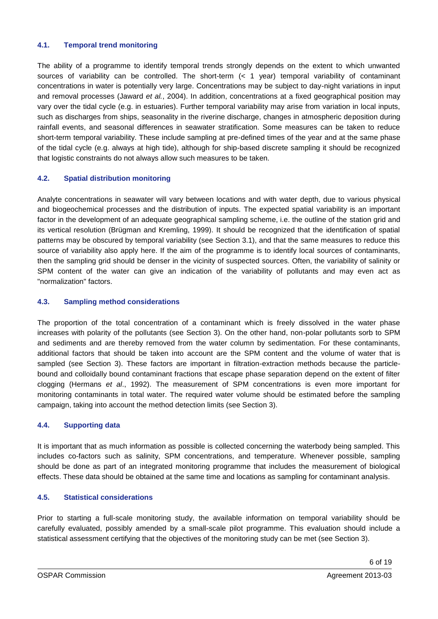#### **4.1. Temporal trend monitoring**

The ability of a programme to identify temporal trends strongly depends on the extent to which unwanted sources of variability can be controlled. The short-term (< 1 year) temporal variability of contaminant concentrations in water is potentially very large. Concentrations may be subject to day-night variations in input and removal processes (Jaward *et al.*, 2004). In addition, concentrations at a fixed geographical position may vary over the tidal cycle (e.g. in estuaries). Further temporal variability may arise from variation in local inputs, such as discharges from ships, seasonality in the riverine discharge, changes in atmospheric deposition during rainfall events, and seasonal differences in seawater stratification. Some measures can be taken to reduce short-term temporal variability. These include sampling at pre-defined times of the year and at the same phase of the tidal cycle (e.g. always at high tide), although for ship-based discrete sampling it should be recognized that logistic constraints do not always allow such measures to be taken.

#### **4.2. Spatial distribution monitoring**

Analyte concentrations in seawater will vary between locations and with water depth, due to various physical and biogeochemical processes and the distribution of inputs. The expected spatial variability is an important factor in the development of an adequate geographical sampling scheme, i.e. the outline of the station grid and its vertical resolution (Brügman and Kremling, 1999). It should be recognized that the identification of spatial patterns may be obscured by temporal variability (see Section 3.1), and that the same measures to reduce this source of variability also apply here. If the aim of the programme is to identify local sources of contaminants, then the sampling grid should be denser in the vicinity of suspected sources. Often, the variability of salinity or SPM content of the water can give an indication of the variability of pollutants and may even act as "normalization" factors.

#### **4.3. Sampling method considerations**

The proportion of the total concentration of a contaminant which is freely dissolved in the water phase increases with polarity of the pollutants (see Section 3). On the other hand, non-polar pollutants sorb to SPM and sediments and are thereby removed from the water column by sedimentation. For these contaminants, additional factors that should be taken into account are the SPM content and the volume of water that is sampled (see Section 3). These factors are important in filtration-extraction methods because the particlebound and colloidally bound contaminant fractions that escape phase separation depend on the extent of filter clogging (Hermans *et al*., 1992). The measurement of SPM concentrations is even more important for monitoring contaminants in total water. The required water volume should be estimated before the sampling campaign, taking into account the method detection limits (see Section 3).

#### **4.4. Supporting data**

It is important that as much information as possible is collected concerning the waterbody being sampled. This includes co-factors such as salinity, SPM concentrations, and temperature. Whenever possible, sampling should be done as part of an integrated monitoring programme that includes the measurement of biological effects. These data should be obtained at the same time and locations as sampling for contaminant analysis.

#### **4.5. Statistical considerations**

Prior to starting a full-scale monitoring study, the available information on temporal variability should be carefully evaluated, possibly amended by a small-scale pilot programme. This evaluation should include a statistical assessment certifying that the objectives of the monitoring study can be met (see Section 3).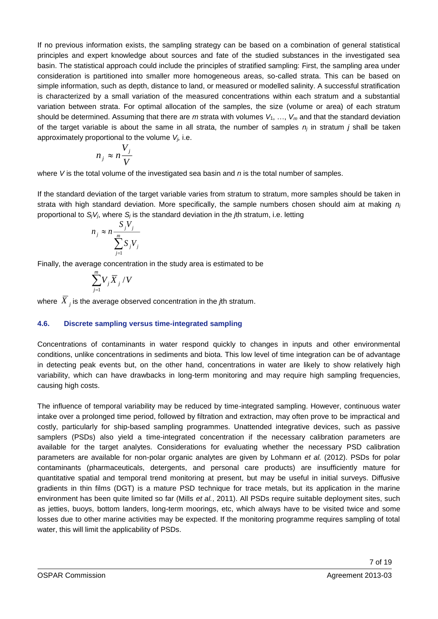If no previous information exists, the sampling strategy can be based on a combination of general statistical principles and expert knowledge about sources and fate of the studied substances in the investigated sea basin. The statistical approach could include the principles of stratified sampling: First, the sampling area under consideration is partitioned into smaller more homogeneous areas, so-called strata. This can be based on simple information, such as depth, distance to land, or measured or modelled salinity. A successful stratification is characterized by a small variation of the measured concentrations within each stratum and a substantial variation between strata. For optimal allocation of the samples, the size (volume or area) of each stratum should be determined. Assuming that there are *m* strata with volumes *V*1, …, *V<sup>m</sup>* and that the standard deviation of the target variable is about the same in all strata, the number of samples *n<sup>j</sup>* in stratum *j* shall be taken approximately proportional to the volume *Vj,* i.e.

$$
n_j \approx n \frac{V_j}{V}
$$

where *V* is the total volume of the investigated sea basin and *n* is the total number of samples.

If the standard deviation of the target variable varies from stratum to stratum, more samples should be taken in strata with high standard deviation. More specifically, the sample numbers chosen should aim at making *n<sup>j</sup>* proportional to  $S_iV_i$ , where  $S_i$  is the standard deviation in the  $\hbar$ h stratum, i.e. letting

$$
n_j \approx n \frac{S_j V_j}{\sum_{j=1}^m S_j V_j}
$$

Finally, the average concentration in the study area is estimated to be

$$
\sum_{j=1}^m V_j \overline{X}_j \, / \, V
$$

where *<sup>X</sup> <sup>j</sup>* is the average observed concentration in the *j*th stratum.

#### **4.6. Discrete sampling versus time-integrated sampling**

Concentrations of contaminants in water respond quickly to changes in inputs and other environmental conditions, unlike concentrations in sediments and biota. This low level of time integration can be of advantage in detecting peak events but, on the other hand, concentrations in water are likely to show relatively high variability, which can have drawbacks in long-term monitoring and may require high sampling frequencies, causing high costs.

The influence of temporal variability may be reduced by time-integrated sampling. However, continuous water intake over a prolonged time period, followed by filtration and extraction, may often prove to be impractical and costly, particularly for ship-based sampling programmes. Unattended integrative devices, such as passive samplers (PSDs) also yield a time-integrated concentration if the necessary calibration parameters are available for the target analytes. Considerations for evaluating whether the necessary PSD calibration parameters are available for non-polar organic analytes are given by Lohmann *et al.* (2012). PSDs for polar contaminants (pharmaceuticals, detergents, and personal care products) are insufficiently mature for quantitative spatial and temporal trend monitoring at present, but may be useful in initial surveys. Diffusive gradients in thin films (DGT) is a mature PSD technique for trace metals, but its application in the marine environment has been quite limited so far (Mills *et al.*, 2011). All PSDs require suitable deployment sites, such as jetties, buoys, bottom landers, long-term moorings, etc, which always have to be visited twice and some losses due to other marine activities may be expected. If the monitoring programme requires sampling of total water, this will limit the applicability of PSDs.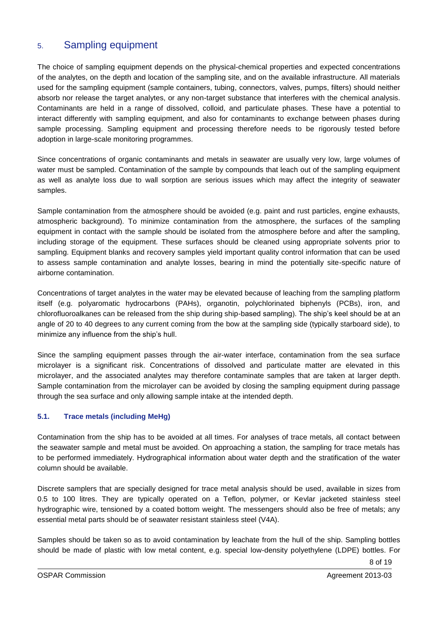# 5. Sampling equipment

The choice of sampling equipment depends on the physical-chemical properties and expected concentrations of the analytes, on the depth and location of the sampling site, and on the available infrastructure. All materials used for the sampling equipment (sample containers, tubing, connectors, valves, pumps, filters) should neither absorb nor release the target analytes, or any non-target substance that interferes with the chemical analysis. Contaminants are held in a range of dissolved, colloid, and particulate phases. These have a potential to interact differently with sampling equipment, and also for contaminants to exchange between phases during sample processing. Sampling equipment and processing therefore needs to be rigorously tested before adoption in large-scale monitoring programmes.

Since concentrations of organic contaminants and metals in seawater are usually very low, large volumes of water must be sampled. Contamination of the sample by compounds that leach out of the sampling equipment as well as analyte loss due to wall sorption are serious issues which may affect the integrity of seawater samples.

Sample contamination from the atmosphere should be avoided (e.g. paint and rust particles, engine exhausts, atmospheric background). To minimize contamination from the atmosphere, the surfaces of the sampling equipment in contact with the sample should be isolated from the atmosphere before and after the sampling, including storage of the equipment. These surfaces should be cleaned using appropriate solvents prior to sampling. Equipment blanks and recovery samples yield important quality control information that can be used to assess sample contamination and analyte losses, bearing in mind the potentially site-specific nature of airborne contamination.

Concentrations of target analytes in the water may be elevated because of leaching from the sampling platform itself (e.g. polyaromatic hydrocarbons (PAHs), organotin, polychlorinated biphenyls (PCBs), iron, and chlorofluoroalkanes can be released from the ship during ship-based sampling). The ship's keel should be at an angle of 20 to 40 degrees to any current coming from the bow at the sampling side (typically starboard side), to minimize any influence from the ship's hull.

Since the sampling equipment passes through the air-water interface, contamination from the sea surface microlayer is a significant risk. Concentrations of dissolved and particulate matter are elevated in this microlayer, and the associated analytes may therefore contaminate samples that are taken at larger depth. Sample contamination from the microlayer can be avoided by closing the sampling equipment during passage through the sea surface and only allowing sample intake at the intended depth.

#### **5.1. Trace metals (including MeHg)**

Contamination from the ship has to be avoided at all times. For analyses of trace metals, all contact between the seawater sample and metal must be avoided. On approaching a station, the sampling for trace metals has to be performed immediately. Hydrographical information about water depth and the stratification of the water column should be available.

Discrete samplers that are specially designed for trace metal analysis should be used, available in sizes from 0.5 to 100 litres. They are typically operated on a Teflon, polymer, or Kevlar jacketed stainless steel hydrographic wire, tensioned by a coated bottom weight. The messengers should also be free of metals; any essential metal parts should be of seawater resistant stainless steel (V4A).

Samples should be taken so as to avoid contamination by leachate from the hull of the ship. Sampling bottles should be made of plastic with low metal content, e.g. special low-density polyethylene (LDPE) bottles. For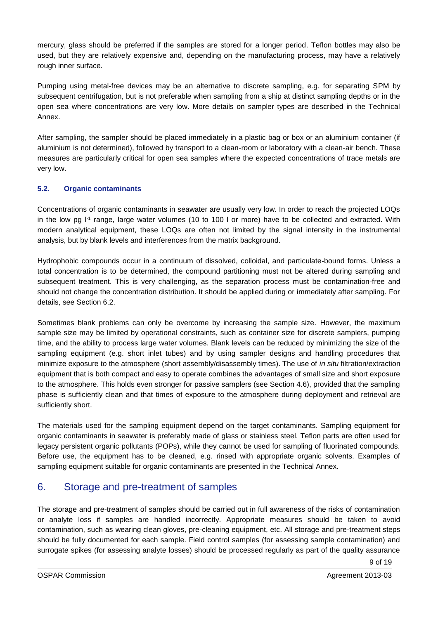mercury, glass should be preferred if the samples are stored for a longer period. Teflon bottles may also be used, but they are relatively expensive and, depending on the manufacturing process, may have a relatively rough inner surface.

Pumping using metal-free devices may be an alternative to discrete sampling, e.g. for separating SPM by subsequent centrifugation, but is not preferable when sampling from a ship at distinct sampling depths or in the open sea where concentrations are very low. More details on sampler types are described in the Technical Annex.

After sampling, the sampler should be placed immediately in a plastic bag or box or an aluminium container (if aluminium is not determined), followed by transport to a clean-room or laboratory with a clean-air bench. These measures are particularly critical for open sea samples where the expected concentrations of trace metals are very low.

#### **5.2. Organic contaminants**

Concentrations of organic contaminants in seawater are usually very low. In order to reach the projected LOQs in the low pg I<sup>-1</sup> range, large water volumes (10 to 100 l or more) have to be collected and extracted. With modern analytical equipment, these LOQs are often not limited by the signal intensity in the instrumental analysis, but by blank levels and interferences from the matrix background.

Hydrophobic compounds occur in a continuum of dissolved, colloidal, and particulate-bound forms. Unless a total concentration is to be determined, the compound partitioning must not be altered during sampling and subsequent treatment. This is very challenging, as the separation process must be contamination-free and should not change the concentration distribution. It should be applied during or immediately after sampling. For details, see Section 6.2.

Sometimes blank problems can only be overcome by increasing the sample size. However, the maximum sample size may be limited by operational constraints, such as container size for discrete samplers, pumping time, and the ability to process large water volumes. Blank levels can be reduced by minimizing the size of the sampling equipment (e.g. short inlet tubes) and by using sampler designs and handling procedures that minimize exposure to the atmosphere (short assembly/disassembly times). The use of *in situ* filtration/extraction equipment that is both compact and easy to operate combines the advantages of small size and short exposure to the atmosphere. This holds even stronger for passive samplers (see Section 4.6), provided that the sampling phase is sufficiently clean and that times of exposure to the atmosphere during deployment and retrieval are sufficiently short.

The materials used for the sampling equipment depend on the target contaminants. Sampling equipment for organic contaminants in seawater is preferably made of glass or stainless steel. Teflon parts are often used for legacy persistent organic pollutants (POPs), while they cannot be used for sampling of fluorinated compounds. Before use, the equipment has to be cleaned, e.g. rinsed with appropriate organic solvents. Examples of sampling equipment suitable for organic contaminants are presented in the Technical Annex.

# 6. Storage and pre-treatment of samples

The storage and pre-treatment of samples should be carried out in full awareness of the risks of contamination or analyte loss if samples are handled incorrectly. Appropriate measures should be taken to avoid contamination, such as wearing clean gloves, pre-cleaning equipment, etc. All storage and pre-treatment steps should be fully documented for each sample. Field control samples (for assessing sample contamination) and surrogate spikes (for assessing analyte losses) should be processed regularly as part of the quality assurance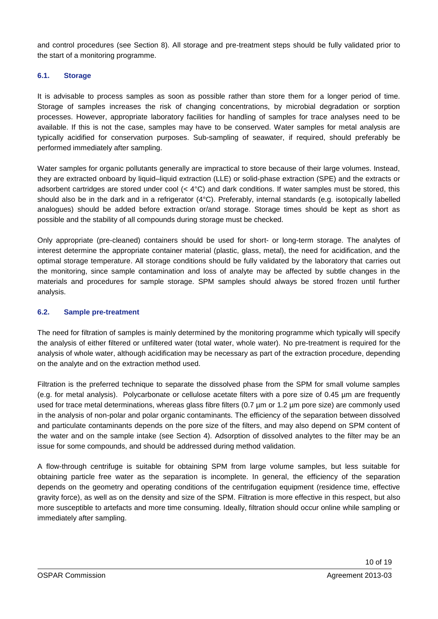and control procedures (see Section 8). All storage and pre-treatment steps should be fully validated prior to the start of a monitoring programme.

#### **6.1. Storage**

It is advisable to process samples as soon as possible rather than store them for a longer period of time. Storage of samples increases the risk of changing concentrations, by microbial degradation or sorption processes. However, appropriate laboratory facilities for handling of samples for trace analyses need to be available. If this is not the case, samples may have to be conserved. Water samples for metal analysis are typically acidified for conservation purposes. Sub-sampling of seawater, if required, should preferably be performed immediately after sampling.

Water samples for organic pollutants generally are impractical to store because of their large volumes. Instead, they are extracted onboard by liquid–liquid extraction (LLE) or solid-phase extraction (SPE) and the extracts or adsorbent cartridges are stored under cool (< 4°C) and dark conditions. If water samples must be stored, this should also be in the dark and in a refrigerator (4°C). Preferably, internal standards (e.g. isotopically labelled analogues) should be added before extraction or/and storage. Storage times should be kept as short as possible and the stability of all compounds during storage must be checked.

Only appropriate (pre-cleaned) containers should be used for short- or long-term storage. The analytes of interest determine the appropriate container material (plastic, glass, metal), the need for acidification, and the optimal storage temperature. All storage conditions should be fully validated by the laboratory that carries out the monitoring, since sample contamination and loss of analyte may be affected by subtle changes in the materials and procedures for sample storage. SPM samples should always be stored frozen until further analysis.

#### **6.2. Sample pre-treatment**

The need for filtration of samples is mainly determined by the monitoring programme which typically will specify the analysis of either filtered or unfiltered water (total water, whole water). No pre-treatment is required for the analysis of whole water, although acidification may be necessary as part of the extraction procedure, depending on the analyte and on the extraction method used.

Filtration is the preferred technique to separate the dissolved phase from the SPM for small volume samples (e.g. for metal analysis). Polycarbonate or cellulose acetate filters with a pore size of 0.45 µm are frequently used for trace metal determinations, whereas glass fibre filters (0.7 µm or 1.2 µm pore size) are commonly used in the analysis of non-polar and polar organic contaminants. The efficiency of the separation between dissolved and particulate contaminants depends on the pore size of the filters, and may also depend on SPM content of the water and on the sample intake (see Section 4). Adsorption of dissolved analytes to the filter may be an issue for some compounds, and should be addressed during method validation.

A flow-through centrifuge is suitable for obtaining SPM from large volume samples, but less suitable for obtaining particle free water as the separation is incomplete. In general, the efficiency of the separation depends on the geometry and operating conditions of the centrifugation equipment (residence time, effective gravity force), as well as on the density and size of the SPM. Filtration is more effective in this respect, but also more susceptible to artefacts and more time consuming. Ideally, filtration should occur online while sampling or immediately after sampling.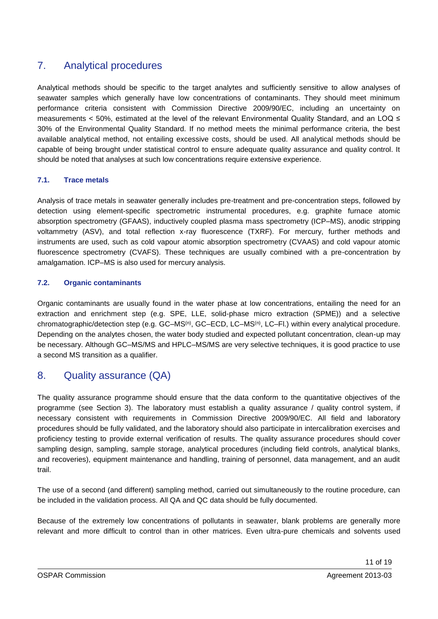# 7. Analytical procedures

Analytical methods should be specific to the target analytes and sufficiently sensitive to allow analyses of seawater samples which generally have low concentrations of contaminants. They should meet minimum performance criteria consistent with Commission Directive 2009/90/EC, including an uncertainty on measurements < 50%, estimated at the level of the relevant Environmental Quality Standard, and an LOQ ≤ 30% of the Environmental Quality Standard. If no method meets the minimal performance criteria, the best available analytical method, not entailing excessive costs, should be used. All analytical methods should be capable of being brought under statistical control to ensure adequate quality assurance and quality control. It should be noted that analyses at such low concentrations require extensive experience.

#### **7.1. Trace metals**

Analysis of trace metals in seawater generally includes pre-treatment and pre-concentration steps, followed by detection using element-specific spectrometric instrumental procedures, e.g. graphite furnace atomic absorption spectrometry (GFAAS), inductively coupled plasma mass spectrometry (ICP–MS), anodic stripping voltammetry (ASV), and total reflection x-ray fluorescence (TXRF). For mercury, further methods and instruments are used, such as cold vapour atomic absorption spectrometry (CVAAS) and cold vapour atomic fluorescence spectrometry (CVAFS). These techniques are usually combined with a pre-concentration by amalgamation. ICP–MS is also used for mercury analysis.

#### **7.2. Organic contaminants**

Organic contaminants are usually found in the water phase at low concentrations, entailing the need for an extraction and enrichment step (e.g. SPE, LLE, solid-phase micro extraction (SPME)) and a selective chromatographic/detection step (e.g. GC–MS<sup>(n)</sup>, GC–ECD, LC–MS<sup>(n)</sup>, LC–Fl.) within every analytical procedure. Depending on the analytes chosen, the water body studied and expected pollutant concentration, clean-up may be necessary. Although GC–MS/MS and HPLC–MS/MS are very selective techniques, it is good practice to use a second MS transition as a qualifier.

## 8. Quality assurance (QA)

The quality assurance programme should ensure that the data conform to the quantitative objectives of the programme (see Section 3). The laboratory must establish a quality assurance / quality control system, if necessary consistent with requirements in Commission Directive 2009/90/EC. All field and laboratory procedures should be fully validated, and the laboratory should also participate in intercalibration exercises and proficiency testing to provide external verification of results. The quality assurance procedures should cover sampling design, sampling, sample storage, analytical procedures (including field controls, analytical blanks, and recoveries), equipment maintenance and handling, training of personnel, data management, and an audit trail.

The use of a second (and different) sampling method, carried out simultaneously to the routine procedure, can be included in the validation process. All QA and QC data should be fully documented.

Because of the extremely low concentrations of pollutants in seawater, blank problems are generally more relevant and more difficult to control than in other matrices. Even ultra-pure chemicals and solvents used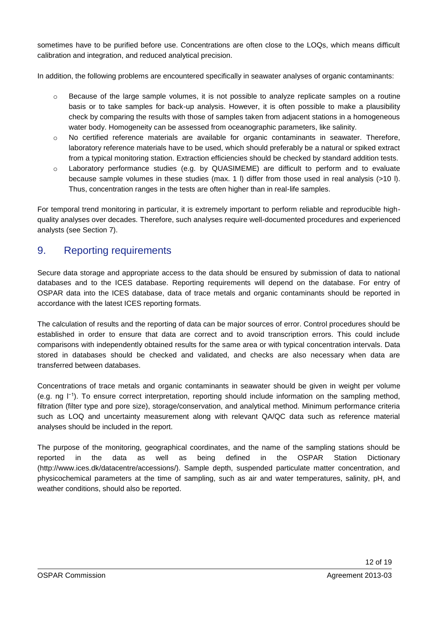sometimes have to be purified before use. Concentrations are often close to the LOQs, which means difficult calibration and integration, and reduced analytical precision.

In addition, the following problems are encountered specifically in seawater analyses of organic contaminants:

- $\circ$  Because of the large sample volumes, it is not possible to analyze replicate samples on a routine basis or to take samples for back-up analysis. However, it is often possible to make a plausibility check by comparing the results with those of samples taken from adjacent stations in a homogeneous water body. Homogeneity can be assessed from oceanographic parameters, like salinity.
- o No certified reference materials are available for organic contaminants in seawater. Therefore, laboratory reference materials have to be used, which should preferably be a natural or spiked extract from a typical monitoring station. Extraction efficiencies should be checked by standard addition tests.
- o Laboratory performance studies (e.g. by QUASIMEME) are difficult to perform and to evaluate because sample volumes in these studies (max. 1 l) differ from those used in real analysis (>10 l). Thus, concentration ranges in the tests are often higher than in real-life samples.

For temporal trend monitoring in particular, it is extremely important to perform reliable and reproducible highquality analyses over decades. Therefore, such analyses require well-documented procedures and experienced analysts (see Section 7).

# 9. Reporting requirements

Secure data storage and appropriate access to the data should be ensured by submission of data to national databases and to the ICES database. Reporting requirements will depend on the database. For entry of OSPAR data into the ICES database, data of trace metals and organic contaminants should be reported in accordance with the latest ICES reporting formats.

The calculation of results and the reporting of data can be major sources of error. Control procedures should be established in order to ensure that data are correct and to avoid transcription errors. This could include comparisons with independently obtained results for the same area or with typical concentration intervals. Data stored in databases should be checked and validated, and checks are also necessary when data are transferred between databases.

Concentrations of trace metals and organic contaminants in seawater should be given in weight per volume (e.g. ng l−1). To ensure correct interpretation, reporting should include information on the sampling method, filtration (filter type and pore size), storage/conservation, and analytical method. Minimum performance criteria such as LOQ and uncertainty measurement along with relevant QA/QC data such as reference material analyses should be included in the report.

The purpose of the monitoring, geographical coordinates, and the name of the sampling stations should be reported in the data as well as being defined in the OSPAR Station Dictionary (http://www.ices.dk/datacentre/accessions/). Sample depth, suspended particulate matter concentration, and physicochemical parameters at the time of sampling, such as air and water temperatures, salinity, pH, and weather conditions, should also be reported.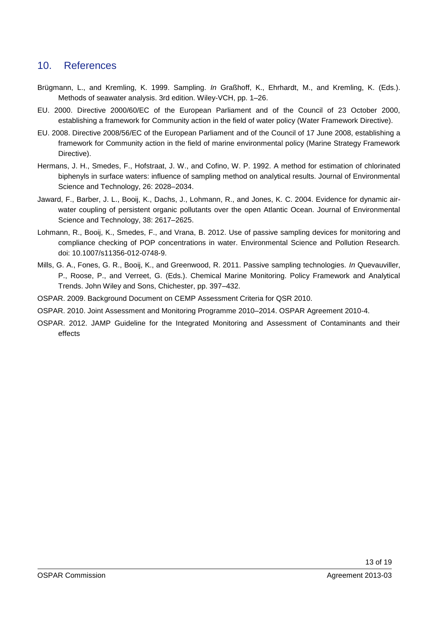# 10. References

- Brügmann, L., and Kremling, K. 1999. Sampling. *In* Graßhoff, K., Ehrhardt, M., and Kremling, K. (Eds.). Methods of seawater analysis. 3rd edition. Wiley-VCH, pp. 1–26.
- EU. 2000. Directive 2000/60/EC of the European Parliament and of the Council of 23 October 2000, establishing a framework for Community action in the field of water policy (Water Framework Directive).
- EU. 2008. Directive 2008/56/EC of the European Parliament and of the Council of 17 June 2008, establishing a framework for Community action in the field of marine environmental policy (Marine Strategy Framework Directive).
- Hermans, J. H., Smedes, F., Hofstraat, J. W., and Cofino, W. P. 1992. A method for estimation of chlorinated biphenyls in surface waters: influence of sampling method on analytical results. Journal of Environmental Science and Technology, 26: 2028–2034.
- Jaward, F., Barber, J. L., Booij, K., Dachs, J., Lohmann, R., and Jones, K. C. 2004. Evidence for dynamic airwater coupling of persistent organic pollutants over the open Atlantic Ocean. Journal of Environmental Science and Technology, 38: 2617–2625.
- Lohmann, R., Booij, K., Smedes, F., and Vrana, B. 2012. Use of passive sampling devices for monitoring and compliance checking of POP concentrations in water. Environmental Science and Pollution Research. doi: 10.1007/s11356-012-0748-9.
- Mills, G. A., Fones, G. R., Booij, K., and Greenwood, R. 2011. Passive sampling technologies. *In* Quevauviller, P., Roose, P., and Verreet, G. (Eds.). Chemical Marine Monitoring. Policy Framework and Analytical Trends. John Wiley and Sons, Chichester, pp. 397–432.
- OSPAR. 2009. Background Document on CEMP Assessment Criteria for QSR 2010.
- OSPAR. 2010. Joint Assessment and Monitoring Programme 2010–2014. OSPAR Agreement 2010-4.
- OSPAR. 2012. JAMP Guideline for the Integrated Monitoring and Assessment of Contaminants and their effects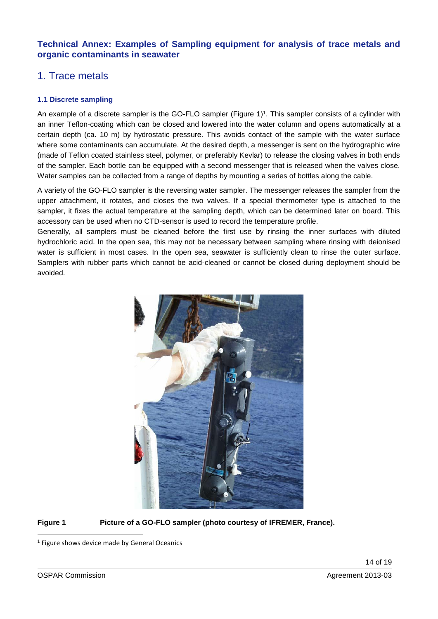#### **Technical Annex: Examples of Sampling equipment for analysis of trace metals and organic contaminants in seawater**

# 1. Trace metals

#### **1.1 Discrete sampling**

An example of a discrete sampler is the GO-FLO sampler (Figure 1)<sup>1</sup>. This sampler consists of a cylinder with an inner Teflon-coating which can be closed and lowered into the water column and opens automatically at a certain depth (ca. 10 m) by hydrostatic pressure. This avoids contact of the sample with the water surface where some contaminants can accumulate. At the desired depth, a messenger is sent on the hydrographic wire (made of Teflon coated stainless steel, polymer, or preferably Kevlar) to release the closing valves in both ends of the sampler. Each bottle can be equipped with a second messenger that is released when the valves close. Water samples can be collected from a range of depths by mounting a series of bottles along the cable.

A variety of the GO-FLO sampler is the reversing water sampler. The messenger releases the sampler from the upper attachment, it rotates, and closes the two valves. If a special thermometer type is attached to the sampler, it fixes the actual temperature at the sampling depth, which can be determined later on board. This accessory can be used when no CTD-sensor is used to record the temperature profile.

Generally, all samplers must be cleaned before the first use by rinsing the inner surfaces with diluted hydrochloric acid. In the open sea, this may not be necessary between sampling where rinsing with deionised water is sufficient in most cases. In the open sea, seawater is sufficiently clean to rinse the outer surface. Samplers with rubber parts which cannot be acid-cleaned or cannot be closed during deployment should be avoided.



#### **Figure 1 Picture of a GO-FLO sampler (photo courtesy of IFREMER, France).**

1

<sup>&</sup>lt;sup>1</sup> Figure shows device made by General Oceanics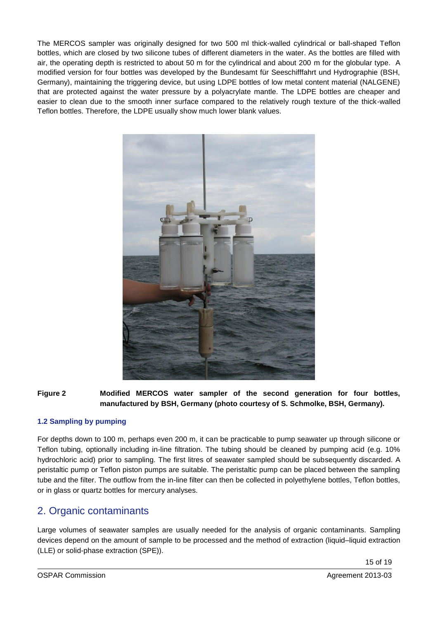The MERCOS sampler was originally designed for two 500 ml thick-walled cylindrical or ball-shaped Teflon bottles, which are closed by two silicone tubes of different diameters in the water. As the bottles are filled with air, the operating depth is restricted to about 50 m for the cylindrical and about 200 m for the globular type. A modified version for four bottles was developed by the Bundesamt für Seeschifffahrt und Hydrographie (BSH, Germany), maintaining the triggering device, but using LDPE bottles of low metal content material (NALGENE) that are protected against the water pressure by a polyacrylate mantle. The LDPE bottles are cheaper and easier to clean due to the smooth inner surface compared to the relatively rough texture of the thick-walled Teflon bottles. Therefore, the LDPE usually show much lower blank values.



**Figure 2 Modified MERCOS water sampler of the second generation for four bottles, manufactured by BSH, Germany (photo courtesy of S. Schmolke, BSH, Germany).**

#### **1.2 Sampling by pumping**

For depths down to 100 m, perhaps even 200 m, it can be practicable to pump seawater up through silicone or Teflon tubing, optionally including in-line filtration. The tubing should be cleaned by pumping acid (e.g. 10% hydrochloric acid) prior to sampling. The first litres of seawater sampled should be subsequently discarded. A peristaltic pump or Teflon piston pumps are suitable. The peristaltic pump can be placed between the sampling tube and the filter. The outflow from the in-line filter can then be collected in polyethylene bottles, Teflon bottles, or in glass or quartz bottles for mercury analyses.

## 2. Organic contaminants

Large volumes of seawater samples are usually needed for the analysis of organic contaminants. Sampling devices depend on the amount of sample to be processed and the method of extraction (liquid–liquid extraction (LLE) or solid-phase extraction (SPE)).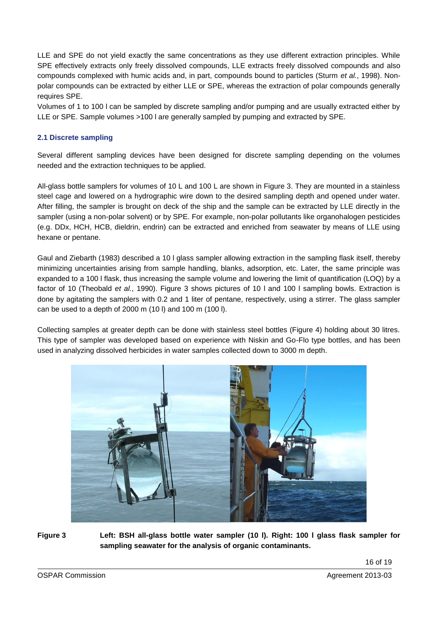LLE and SPE do not yield exactly the same concentrations as they use different extraction principles. While SPE effectively extracts only freely dissolved compounds, LLE extracts freely dissolved compounds and also compounds complexed with humic acids and, in part, compounds bound to particles (Sturm *et al.*, 1998). Nonpolar compounds can be extracted by either LLE or SPE, whereas the extraction of polar compounds generally requires SPE.

Volumes of 1 to 100 l can be sampled by discrete sampling and/or pumping and are usually extracted either by LLE or SPE. Sample volumes >100 l are generally sampled by pumping and extracted by SPE.

#### **2.1 Discrete sampling**

Several different sampling devices have been designed for discrete sampling depending on the volumes needed and the extraction techniques to be applied.

All-glass bottle samplers for volumes of 10 L and 100 L are shown in Figure 3. They are mounted in a stainless steel cage and lowered on a hydrographic wire down to the desired sampling depth and opened under water. After filling, the sampler is brought on deck of the ship and the sample can be extracted by LLE directly in the sampler (using a non-polar solvent) or by SPE. For example, non-polar pollutants like organohalogen pesticides (e.g. DDx, HCH, HCB, dieldrin, endrin) can be extracted and enriched from seawater by means of LLE using hexane or pentane.

Gaul and Ziebarth (1983) described a 10 l glass sampler allowing extraction in the sampling flask itself, thereby minimizing uncertainties arising from sample handling, blanks, adsorption, etc. Later, the same principle was expanded to a 100 l flask, thus increasing the sample volume and lowering the limit of quantification (LOQ) by a factor of 10 (Theobald *et al.*, 1990). Figure 3 shows pictures of 10 l and 100 l sampling bowls. Extraction is done by agitating the samplers with 0.2 and 1 liter of pentane, respectively, using a stirrer. The glass sampler can be used to a depth of 2000 m (10 l) and 100 m (100 l).

Collecting samples at greater depth can be done with stainless steel bottles (Figure 4) holding about 30 litres. This type of sampler was developed based on experience with Niskin and Go-Flo type bottles, and has been used in analyzing dissolved herbicides in water samples collected down to 3000 m depth.



**Figure 3 Left: BSH all-glass bottle water sampler (10 l). Right: 100 l glass flask sampler for sampling seawater for the analysis of organic contaminants.**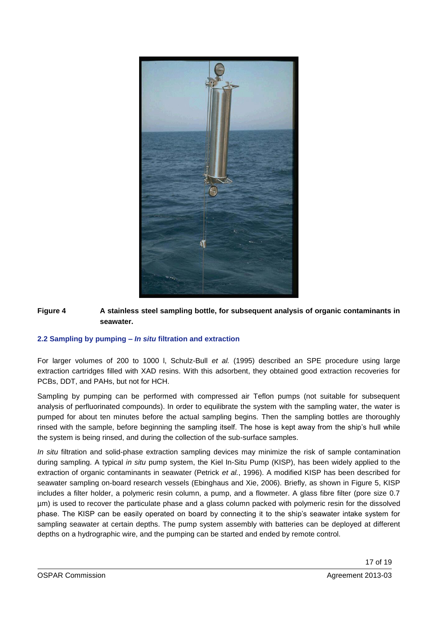

#### **Figure 4 A stainless steel sampling bottle, for subsequent analysis of organic contaminants in seawater.**

#### **2.2 Sampling by pumping –** *In situ* **filtration and extraction**

For larger volumes of 200 to 1000 l, Schulz-Bull *et al.* (1995) described an SPE procedure using large extraction cartridges filled with XAD resins. With this adsorbent, they obtained good extraction recoveries for PCBs, DDT, and PAHs, but not for HCH.

Sampling by pumping can be performed with compressed air Teflon pumps (not suitable for subsequent analysis of perfluorinated compounds). In order to equilibrate the system with the sampling water, the water is pumped for about ten minutes before the actual sampling begins. Then the sampling bottles are thoroughly rinsed with the sample, before beginning the sampling itself. The hose is kept away from the ship's hull while the system is being rinsed, and during the collection of the sub-surface samples.

*In situ* filtration and solid-phase extraction sampling devices may minimize the risk of sample contamination during sampling. A typical *in situ* pump system, the Kiel In-Situ Pump (KISP), has been widely applied to the extraction of organic contaminants in seawater (Petrick *et al.*, 1996). A modified KISP has been described for seawater sampling on-board research vessels (Ebinghaus and Xie, 2006). Briefly, as shown in Figure 5, KISP includes a filter holder, a polymeric resin column, a pump, and a flowmeter. A glass fibre filter (pore size 0.7 µm) is used to recover the particulate phase and a glass column packed with polymeric resin for the dissolved phase. The KISP can be easily operated on board by connecting it to the ship's seawater intake system for sampling seawater at certain depths. The pump system assembly with batteries can be deployed at different depths on a hydrographic wire, and the pumping can be started and ended by remote control.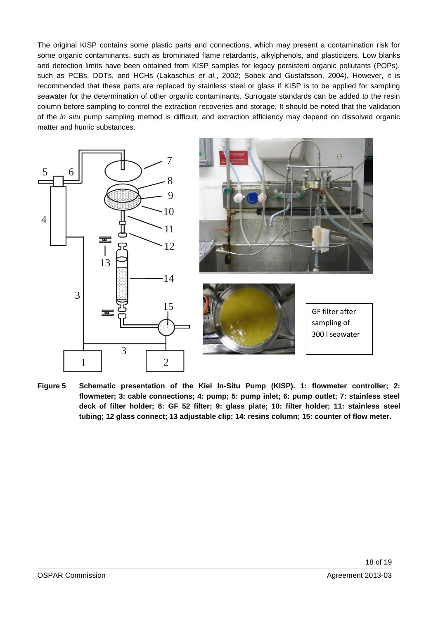The original KISP contains some plastic parts and connections, which may present a contamination risk for some organic contaminants, such as brominated flame retardants, alkylphenols, and plasticizers. Low blanks and detection limits have been obtained from KISP samples for legacy persistent organic pollutants (POPs), such as PCBs, DDTs, and HCHs (Lakaschus *et al.*, 2002; Sobek and Gustafsson, 2004). However, it is recommended that these parts are replaced by stainless steel or glass if KISP is to be applied for sampling seawater for the determination of other organic contaminants. Surrogate standards can be added to the resin column before sampling to control the extraction recoveries and storage. It should be noted that the validation of the *in situ* pump sampling method is difficult, and extraction efficiency may depend on dissolved organic matter and humic substances.



**Figure 5 Schematic presentation of the Kiel In-Situ Pump (KISP). 1: flowmeter controller; 2: flowmeter; 3: cable connections; 4: pump; 5: pump inlet; 6: pump outlet; 7: stainless steel deck of filter holder; 8: GF 52 filter; 9: glass plate; 10: filter holder; 11: stainless steel tubing; 12 glass connect; 13 adjustable clip; 14: resins column; 15: counter of flow meter.**